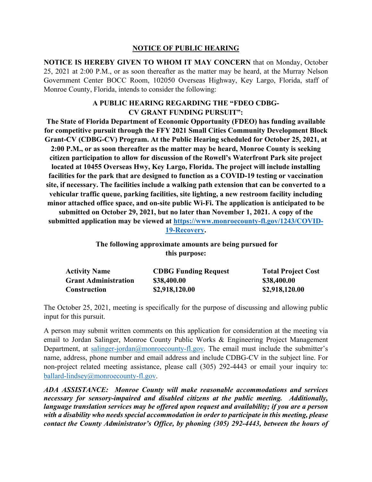## **NOTICE OF PUBLIC HEARING**

**NOTICE IS HEREBY GIVEN TO WHOM IT MAY CONCERN** that on Monday, October 25, 2021 at 2:00 P.M., or as soon thereafter as the matter may be heard, at the Murray Nelson Government Center BOCC Room, 102050 Overseas Highway, Key Largo, Florida, staff of Monroe County, Florida, intends to consider the following:

## **A PUBLIC HEARING REGARDING THE "FDEO CDBG-CV GRANT FUNDING PURSUIT":**

**The State of Florida Department of Economic Opportunity (FDEO) has funding available for competitive pursuit through the FFY 2021 Small Cities Community Development Block Grant-CV (CDBG-CV) Program. At the Public Hearing scheduled for October 25, 2021, at 2:00 P.M., or as soon thereafter as the matter may be heard, Monroe County is seeking citizen participation to allow for discussion of the Rowell's Waterfront Park site project located at 10455 Overseas Hwy, Key Largo, Florida. The project will include installing facilities for the park that are designed to function as a COVID-19 testing or vaccination site, if necessary. The facilities include a walking path extension that can be converted to a vehicular traffic queue, parking facilities, site lighting, a new restroom facility including minor attached office space, and on-site public Wi-Fi. The application is anticipated to be submitted on October 29, 2021, but no later than November 1, 2021. A copy of the submitted application may be viewed at [https://www.monroecounty-fl.gov/1243/COVID-](https://www.monroecounty-fl.gov/1243/COVID-19-Recovery)[19-Recovery.](https://www.monroecounty-fl.gov/1243/COVID-19-Recovery)**

> **The following approximate amounts are being pursued for this purpose:**

| <b>Activity Name</b>        | <b>CDBG Funding Request</b> | <b>Total Project Cost</b> |
|-----------------------------|-----------------------------|---------------------------|
| <b>Grant Administration</b> | \$38,400.00                 | \$38,400.00               |
| <b>Construction</b>         | \$2,918,120.00              | \$2,918,120.00            |

The October 25, 2021, meeting is specifically for the purpose of discussing and allowing public input for this pursuit.

A person may submit written comments on this application for consideration at the meeting via email to Jordan Salinger, Monroe County Public Works & Engineering Project Management Department, at [salinger-jordan@monroecounty-fl.gov.](mailto:salinger-jordan@monroecounty-fl.gov) The email must include the submitter's name, address, phone number and email address and include CDBG-CV in the subject line. For non-project related meeting assistance, please call (305) 292-4443 or email your inquiry to: [ballard-lindsey@monroecounty-fl.gov.](mailto:ballard-lindsey@monroecounty-fl.gov)

*ADA ASSISTANCE: Monroe County will make reasonable accommodations and services necessary for sensory-impaired and disabled citizens at the public meeting. Additionally, language translation services may be offered upon request and availability; if you are a person with a disability who needs special accommodation in order to participate in this meeting, please contact the County Administrator's Office, by phoning (305) 292-4443, between the hours of*